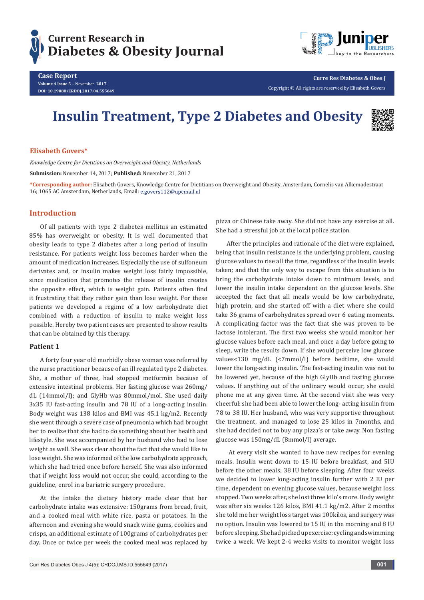



**Case Report Volume 4 Issue 5** - November **2017 DOI: [10.19080/CRDOJ.2017.04.555649](http://dx.doi.org/10.19080/CRDOJ.2017.04.555649)** **Curre Res Diabetes & Obes J**

Copyright © All rights are reserved by Elisabeth Govers

# **Insulin Treatment, Type 2 Diabetes and Obesity**



# **Elisabeth Govers\***

*Knowledge Centre for Dietitians on Overweight and Obesity, Netherlands*

**Submission:** November 14, 2017; **Published:** November 21, 2017

**\*Corresponding author:** Elisabeth Govers, Knowledge Centre for Dietitians on Overweight and Obesity, Amsterdam, Cornelis van Alkemadestraat 16; 1065 AC Amsterdam, Netherlands, Email: e.govers112@upcmail.nl

# **Introduction**

Of all patients with type 2 diabetes mellitus an estimated 85% has overweight or obesity. It is well documented that obesity leads to type 2 diabetes after a long period of insulin resistance. For patients weight loss becomes harder when the amount of medication increases. Especially the use of sulfoneum derivates and, or insulin makes weight loss fairly impossible, since medication that promotes the release of insulin creates the opposite effect, which is weight gain. Patients often find it frustrating that they rather gain than lose weight. For these patients we developed a regime of a low carbohydrate diet combined with a reduction of insulin to make weight loss possible. Hereby two patient cases are presented to show results that can be obtained by this therapy.

#### **Patient 1**

A forty four year old morbidly obese woman was referred by the nurse practitioner because of an ill regulated type 2 diabetes. She, a mother of three, had stopped metformin because of extensive intestinal problems. Her fasting glucose was 260mg/ dL (14mmol/l); and GlyHb was 80mmol/mol. She used daily 3x35 IU fast-acting insulin and 78 IU of a long-acting insulin. Body weight was 138 kilos and BMI was 45.1 kg/m2. Recently she went through a severe case of pneumonia which had brought her to realize that she had to do something about her health and lifestyle. She was accompanied by her husband who had to lose weight as well. She was clear about the fact that she would like to lose weight. She was informed of the low carbohydrate approach, which she had tried once before herself. She was also informed that if weight loss would not occur, she could, according to the guideline, enrol in a bariatric surgery procedure.

At the intake the dietary history made clear that her carbohydrate intake was extensive: 150grams from bread, fruit, and a cooked meal with white rice, pasta or potatoes. In the afternoon and evening she would snack wine gums, cookies and crisps, an additional estimate of 100grams of carbohydrates per day. Once or twice per week the cooked meal was replaced by

pizza or Chinese take away. She did not have any exercise at all. She had a stressful job at the local police station.

After the principles and rationale of the diet were explained, being that insulin resistance is the underlying problem, causing glucose values to rise all the time, regardless of the insulin levels taken; and that the only way to escape from this situation is to bring the carbohydrate intake down to minimum levels, and lower the insulin intake dependent on the glucose levels. She accepted the fact that all meals would be low carbohydrate, high protein, and she started off with a diet where she could take 36 grams of carbohydrates spread over 6 eating moments. A complicating factor was the fact that she was proven to be lactose intolerant. The first two weeks she would monitor her glucose values before each meal, and once a day before going to sleep, write the results down. If she would perceive low glucose values<130 mg/dL (<7mmol/l) before bedtime, she would lower the long-acting insulin. The fast-acting insulin was not to be lowered yet, because of the high GlyHb and fasting glucose values. If anything out of the ordinary would occur, she could phone me at any given time. At the second visit she was very cheerful: she had been able to lower the long- acting insulin from 78 to 38 IU. Her husband, who was very supportive throughout the treatment, and managed to lose 25 kilos in 7months, and she had decided not to buy any pizza's or take away. Non fasting glucose was 150mg/dL (8mmol/l) average.

 At every visit she wanted to have new recipes for evening meals. Insulin went down to 15 IU before breakfast, and 5IU before the other meals; 38 IU before sleeping. After four weeks we decided to lower long-acting insulin further with 2 IU per time, dependent on evening glucose values, because weight loss stopped. Two weeks after, she lost three kilo's more. Body weight was after six weeks 126 kilos, BMI 41.1 kg/m2. After 2 months she told me her weight loss target was 100kilos, and surgery was no option. Insulin was lowered to 15 IU in the morning and 8 IU before sleeping. She had picked up exercise: cycling and swimming twice a week. We kept 2-4 weeks visits to monitor weight loss